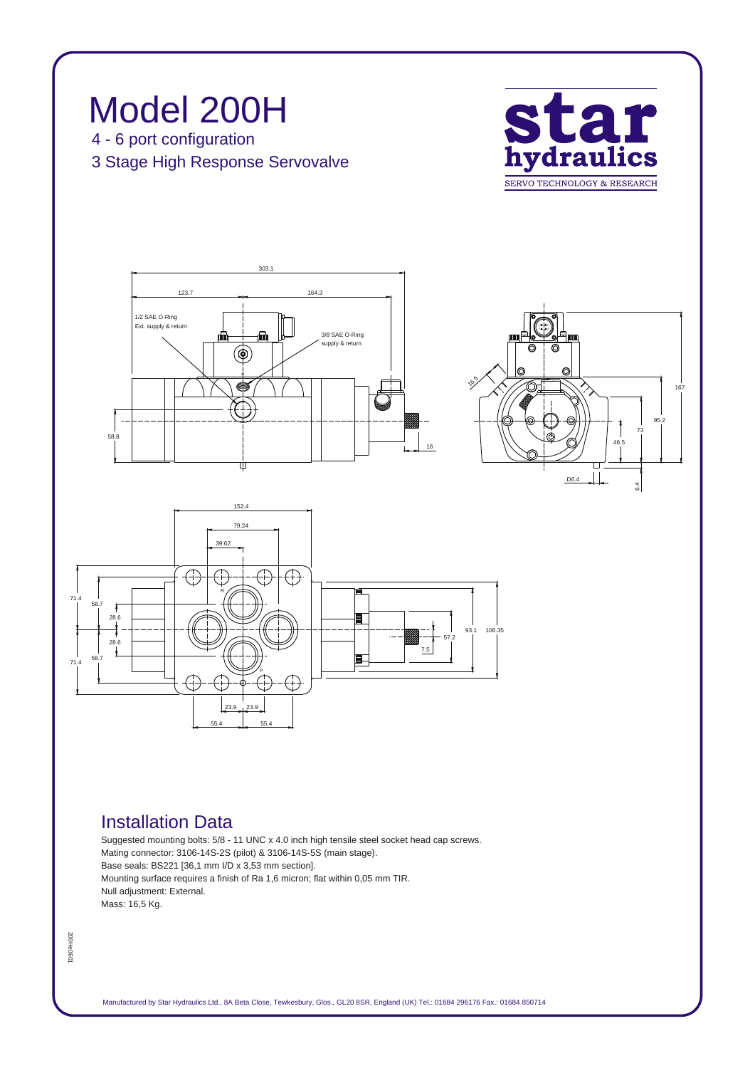

## *Installation Data*

*Suggested mounting bolts: 5/8 - 11 UNC x 4.0 inch high tensile steel socket head cap screws. Mating connector: 3106-14S-2S (pilot) & 3106-14S-5S (main stage). Base seals: BS221 [36,1 mm I/D x 3,53 mm section]. Mounting surface requires a finish of Ra 1,6 micron; flat within 0,05 mm TIR. Null adjustment: External. Mass: 16,5 Kg.*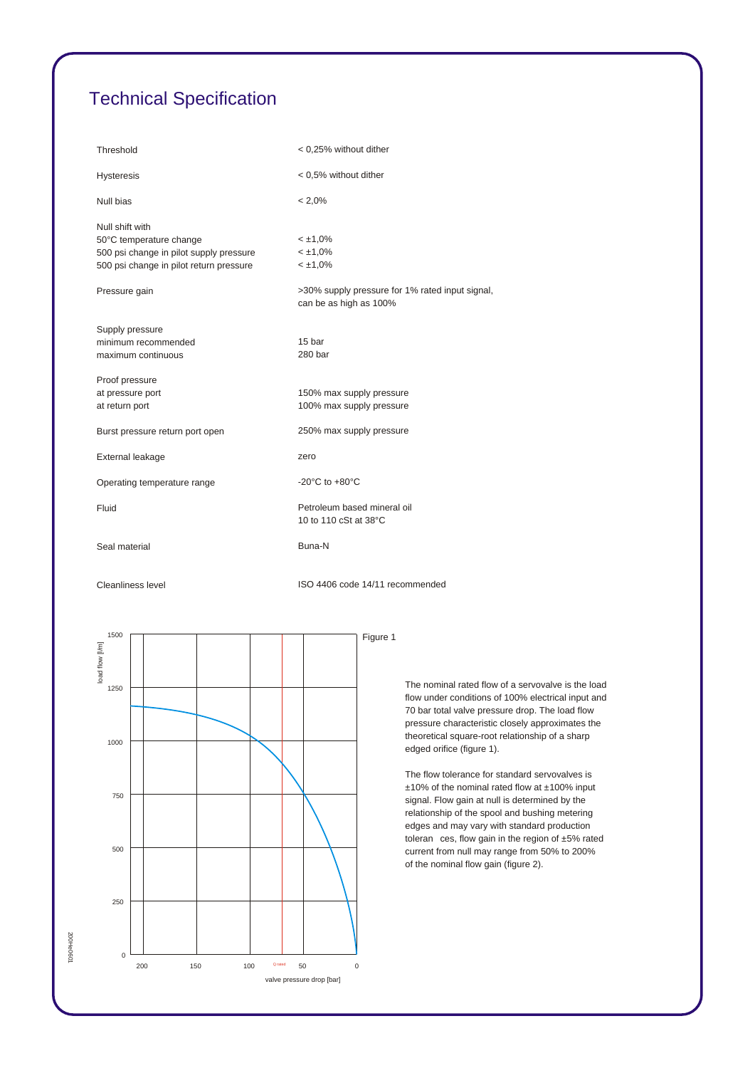## *Technical Specification*

| Threshold                                                                                                                        | < 0,25% without dither                                                    |
|----------------------------------------------------------------------------------------------------------------------------------|---------------------------------------------------------------------------|
| <b>Hysteresis</b>                                                                                                                | < 0.5% without dither                                                     |
| Null bias                                                                                                                        | $< 2,0\%$                                                                 |
| Null shift with<br>50°C temperature change<br>500 psi change in pilot supply pressure<br>500 psi change in pilot return pressure | $<$ ±1,0%<br>$< \pm 1.0\%$<br>$< \pm 1,0\%$                               |
| Pressure gain                                                                                                                    | >30% supply pressure for 1% rated input signal,<br>can be as high as 100% |
| Supply pressure<br>minimum recommended<br>maximum continuous                                                                     | 15 bar<br>280 bar                                                         |
| Proof pressure<br>at pressure port<br>at return port                                                                             | 150% max supply pressure<br>100% max supply pressure                      |
| Burst pressure return port open                                                                                                  | 250% max supply pressure                                                  |
| External leakage                                                                                                                 | zero                                                                      |
| Operating temperature range                                                                                                      | -20 $^{\circ}$ C to +80 $^{\circ}$ C                                      |
| Fluid                                                                                                                            | Petroleum based mineral oil<br>10 to 110 cSt at 38°C                      |
| Seal material                                                                                                                    | Buna-N                                                                    |

*Cleanliness level*

*ISO 4406 code 14/11 recommended*



*The nominal rated flow of a servovalve is the load flow under conditions of 100% electrical input and 70 bar total valve pressure drop. The load flow pressure characteristic closely approximates the theoretical square-root relationship of a sharp edged orifice (figure 1).*

*The flow tolerance for standard servovalves is ±10% of the nominal rated flow at ±100% input signal. Flow gain at null is determined by the relationship of the spool and bushing metering edges and may vary with standard production toleran ces, flow gain in the region of ±5% rated current from null may range from 50% to 200% of the nominal flow gain (figure 2).*